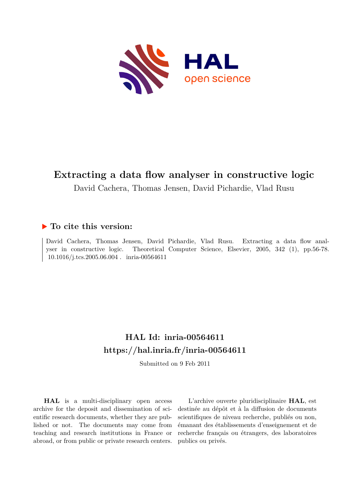

# **Extracting a data flow analyser in constructive logic**

David Cachera, Thomas Jensen, David Pichardie, Vlad Rusu

## **To cite this version:**

David Cachera, Thomas Jensen, David Pichardie, Vlad Rusu. Extracting a data flow analyser in constructive logic. Theoretical Computer Science, Elsevier, 2005, 342 (1), pp.56-78.  $10.1016$ /j.tcs.2005.06.004. inria-00564611

# **HAL Id: inria-00564611 <https://hal.inria.fr/inria-00564611>**

Submitted on 9 Feb 2011

**HAL** is a multi-disciplinary open access archive for the deposit and dissemination of scientific research documents, whether they are published or not. The documents may come from teaching and research institutions in France or abroad, or from public or private research centers.

L'archive ouverte pluridisciplinaire **HAL**, est destinée au dépôt et à la diffusion de documents scientifiques de niveau recherche, publiés ou non, émanant des établissements d'enseignement et de recherche français ou étrangers, des laboratoires publics ou privés.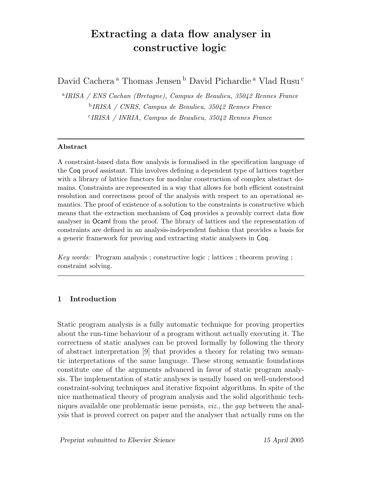# Extracting a data flow analyser in constructive logic

David Cachera<sup>a</sup> Thomas Jensen<sup>b</sup> David Pichardie<sup>a</sup> Vlad Rusu<sup>c</sup>

a IRISA / ENS Cachan (Bretagne), Campus de Beaulieu, 35042 Rennes France b IRISA / CNRS, Campus de Beaulieu, 35042 Rennes France c IRISA / INRIA, Campus de Beaulieu, 35042 Rennes France

#### Abstract

A constraint-based data flow analysis is formalised in the specification language of the Coq proof assistant. This involves defining a dependent type of lattices together with a library of lattice functors for modular construction of complex abstract domains. Constraints are represented in a way that allows for both efficient constraint resolution and correctness proof of the analysis with respect to an operational semantics. The proof of existence of a solution to the constraints is constructive which means that the extraction mechanism of Coq provides a provably correct data flow analyser in Ocaml from the proof. The library of lattices and the representation of constraints are defined in an analysis-independent fashion that provides a basis for a generic framework for proving and extracting static analysers in Coq.

Key words: Program analysis ; constructive logic ; lattices ; theorem proving ; constraint solving.

#### 1 Introduction

Static program analysis is a fully automatic technique for proving properties about the run-time behaviour of a program without actually executing it. The correctness of static analyses can be proved formally by following the theory of abstract interpretation [9] that provides a theory for relating two semantic interpretations of the same language. These strong semantic foundations constitute one of the arguments advanced in favor of static program analysis. The implementation of static analyses is usually based on well-understood constraint-solving techniques and iterative fixpoint algorithms. In spite of the nice mathematical theory of program analysis and the solid algorithmic techniques available one problematic issue persists,  $viz$ , the gap between the analysis that is proved correct on paper and the analyser that actually runs on the

Preprint submitted to Elsevier Science 15 April 2005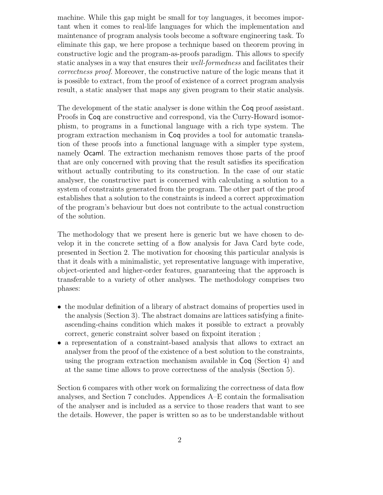machine. While this gap might be small for toy languages, it becomes important when it comes to real-life languages for which the implementation and maintenance of program analysis tools become a software engineering task. To eliminate this gap, we here propose a technique based on theorem proving in constructive logic and the program-as-proofs paradigm. This allows to specify static analyses in a way that ensures their *well-formedness* and facilitates their correctness proof. Moreover, the constructive nature of the logic means that it is possible to extract, from the proof of existence of a correct program analysis result, a static analyser that maps any given program to their static analysis.

The development of the static analyser is done within the Coq proof assistant. Proofs in Coq are constructive and correspond, via the Curry-Howard isomorphism, to programs in a functional language with a rich type system. The program extraction mechanism in Coq provides a tool for automatic translation of these proofs into a functional language with a simpler type system, namely Ocaml. The extraction mechanism removes those parts of the proof that are only concerned with proving that the result satisfies its specification without actually contributing to its construction. In the case of our static analyser, the constructive part is concerned with calculating a solution to a system of constraints generated from the program. The other part of the proof establishes that a solution to the constraints is indeed a correct approximation of the program's behaviour but does not contribute to the actual construction of the solution.

The methodology that we present here is generic but we have chosen to develop it in the concrete setting of a flow analysis for Java Card byte code, presented in Section 2. The motivation for choosing this particular analysis is that it deals with a minimalistic, yet representative language with imperative, object-oriented and higher-order features, guaranteeing that the approach is transferable to a variety of other analyses. The methodology comprises two phases:

- the modular definition of a library of abstract domains of properties used in the analysis (Section 3). The abstract domains are lattices satisfying a finiteascending-chains condition which makes it possible to extract a provably correct, generic constraint solver based on fixpoint iteration ;
- a representation of a constraint-based analysis that allows to extract an analyser from the proof of the existence of a best solution to the constraints, using the program extraction mechanism available in Coq (Section 4) and at the same time allows to prove correctness of the analysis (Section 5).

Section 6 compares with other work on formalizing the correctness of data flow analyses, and Section 7 concludes. Appendices A–E contain the formalisation of the analyser and is included as a service to those readers that want to see the details. However, the paper is written so as to be understandable without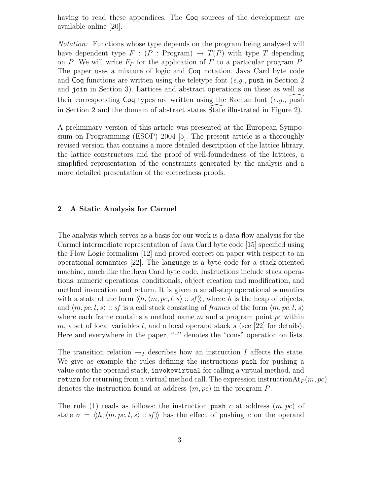having to read these appendices. The Coq sources of the development are available online [20].

Notation: Functions whose type depends on the program being analysed will have dependent type  $F : (P : Program) \rightarrow T(P)$  with type T depending on P. We will write  $F_P$  for the application of F to a particular program P. The paper uses a mixture of logic and Coq notation. Java Card byte code and  $\textsf{Cog}$  functions are written using the teletype font  $(e.q.,$  push in Section 2 and join in Section 3). Lattices and abstract operations on these as well as their corresponding  $\textsf{Coq}$  types are written using the Roman font (e.g., push in Section 2 and the domain of abstract states State illustrated in Figure 2).

A preliminary version of this article was presented at the European Symposium on Programming (ESOP) 2004 [5]. The present article is a thoroughly revised version that contains a more detailed description of the lattice library, the lattice constructors and the proof of well-foundedness of the lattices, a simplified representation of the constraints generated by the analysis and a more detailed presentation of the correctness proofs.

#### 2 A Static Analysis for Carmel

The analysis which serves as a basis for our work is a data flow analysis for the Carmel intermediate representation of Java Card byte code [15] specified using the Flow Logic formalism [12] and proved correct on paper with respect to an operational semantics [22]. The language is a byte code for a stack-oriented machine, much like the Java Card byte code. Instructions include stack operations, numeric operations, conditionals, object creation and modification, and method invocation and return. It is given a small-step operational semantics with a state of the form  $\langle\langle h, \langle m, pc, l, s \rangle : s \rangle$ , where h is the heap of objects, and  $\langle m, pc, l, s \rangle$ : sf is a call stack consisting of frames of the form  $\langle m, pc, l, s \rangle$ where each frame contains a method name  $m$  and a program point  $pc$  within m, a set of local variables l, and a local operand stack s (see [22] for details). Here and everywhere in the paper, "::" denotes the "cons" operation on lists.

The transition relation  $\rightarrow_I$  describes how an instruction I affects the state. We give as example the rules defining the instructions push for pushing a value onto the operand stack, invokevirtual for calling a virtual method, and return for returning from a virtual method call. The expression instruction $\text{At}_P(m, pc)$ denotes the instruction found at address  $(m, pc)$  in the program P.

The rule (1) reads as follows: the instruction push c at address  $(m, pc)$  of state  $\sigma = \langle h, \langle m, pc, l, s \rangle : s \rangle$  has the effect of pushing c on the operand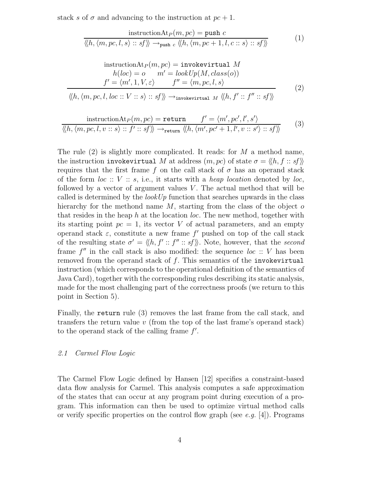stack s of  $\sigma$  and advancing to the instruction at  $pc + 1$ .

$$
\frac{\text{instructionAt}_{P}(m, pc) = \text{push } c}{\langle\langle h, \langle m, pc, l, s \rangle :: sf \rangle\rangle \rightarrow_{\text{push } c} \langle\langle h, \langle m, pc + 1, l, c :: s \rangle :: sf \rangle\rangle}
$$
(1)

$$
\begin{aligned}\n\text{ instructionAt}_{P}(m, pc) &= \text{invokerertual } M \\
h(loc) &= o \qquad m' = \text{lookUp}(M, class(o)) \\
f' &= \langle m', 1, V, \varepsilon \rangle \qquad f'' = \langle m, pc, l, s \rangle \\
\langle\langle h, \langle m, pc, l, loc::V::s \rangle::sf \rangle \rangle &\rightarrow_{\text{invokerertual } M} \langle\langle h, f':: f'':s f \rangle\rangle\n\end{aligned} \tag{2}
$$

$$
\frac{\text{ instructionAt}_{P}(m, pc) = \text{return} \qquad f' = \langle m', pc', l', s' \rangle}{\langle\langle h, \langle m, pc, l, v :: s \rangle :: f' :: sf \rangle \rangle \rightarrow_{\text{return}} \langle\langle h, \langle m', pc' + 1, l', v :: s' \rangle :: sf \rangle \rangle} \qquad (3)
$$

The rule  $(2)$  is slightly more complicated. It reads: for M a method name, the instruction invokevirtual M at address  $(m, pc)$  of state  $\sigma = \langle h, f : : sf \rangle \rangle$ requires that the first frame f on the call stack of  $\sigma$  has an operand stack of the form  $loc :: V :: s$ , i.e., it starts with a heap location denoted by loc, followed by a vector of argument values  $V$ . The actual method that will be called is determined by the *lookUp* function that searches upwards in the class hierarchy for the methond name  $M$ , starting from the class of the object  $o$ that resides in the heap h at the location  $loc$ . The new method, together with its starting point  $pc = 1$ , its vector V of actual parameters, and an empty operand stack  $\varepsilon$ , constitute a new frame f' pushed on top of the call stack of the resulting state  $\sigma' = \langle h, f' :: f'': s f \rangle$ . Note, however, that the second frame  $f''$  in the call stack is also modified: the sequence  $loc :: V$  has been removed from the operand stack of  $f$ . This semantics of the invokevirtual instruction (which corresponds to the operational definition of the semantics of Java Card), together with the corresponding rules describing its static analysis, made for the most challenging part of the correctness proofs (we return to this point in Section 5).

Finally, the return rule (3) removes the last frame from the call stack, and transfers the return value  $v$  (from the top of the last frame's operand stack) to the operand stack of the calling frame  $f'$ .

#### 2.1 Carmel Flow Logic

The Carmel Flow Logic defined by Hansen [12] specifies a constraint-based data flow analysis for Carmel. This analysis computes a safe approximation of the states that can occur at any program point during execution of a program. This information can then be used to optimize virtual method calls or verify specific properties on the control flow graph (see e.g.  $[4]$ ). Programs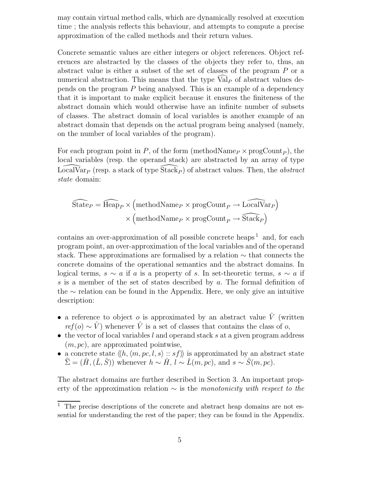may contain virtual method calls, which are dynamically resolved at execution time ; the analysis reflects this behaviour, and attempts to compute a precise approximation of the called methods and their return values.

Concrete semantic values are either integers or object references. Object references are abstracted by the classes of the objects they refer to, thus, an abstract value is either a subset of the set of classes of the program P or a numerical abstraction. This means that the type  $\text{Val}_P$  of abstract values depends on the program P being analysed. This is an example of a dependency that it is important to make explicit because it ensures the finiteness of the abstract domain which would otherwise have an infinite number of subsets of classes. The abstract domain of local variables is another example of an abstract domain that depends on the actual program being analysed (namely, on the number of local variables of the program).

For each program point in  $P$ , of the form (methodName<sub>P</sub>  $\times$  progCount<sub>P</sub>), the local variables (resp. the operand stack) are abstracted by \ an array of type  $\overline{\text{LocalVar}_{P}}$  (resp. a stack of type  $\overline{\text{Stack}_{P}}$ ) of abstract values. Then, the abstract state domain:

$$
\widehat{\text{State}_{P}} = \widehat{\text{Heap}_{P}} \times (\text{methodName}_{P} \times \text{progCount}_{P} \to \widehat{\text{LocalVar}_{P}})
$$

$$
\times (\text{methodName}_{P} \times \text{progCount}_{P} \to \widehat{\text{Stack}_{P}})
$$

contains an over-approximation of all possible concrete heaps  $<sup>1</sup>$  and, for each</sup> program point, an over-approximation of the local variables and of the operand stack. These approximations are formalised by a relation ∼ that connects the concrete domains of the operational semantics and the abstract domains. In logical terms,  $s \sim a$  if a is a property of s. In set-theoretic terms,  $s \sim a$  if s is a member of the set of states described by a. The formal definition of the ∼ relation can be found in the Appendix. Here, we only give an intuitive description:

- a reference to object o is approximated by an abstract value  $\hat{V}$  (written  $ref(o) \sim \hat{V}$  whenever  $\hat{V}$  is a set of classes that contains the class of o,
- $\bullet$  the vector of local variables l and operand stack s at a given program address  $(m, pc)$ , are approximated pointwise,
- a concrete state  $\langle\langle h, \langle m, pc, l, s \rangle : s \rangle$  is approximated by an abstract state  $\hat{\Sigma} = (\hat{H}, (\hat{L}, \hat{S}))$  whenever  $h \sim \hat{H}$ ,  $l \sim \hat{L}(m, pc)$ , and  $s \sim \hat{S}(m, pc)$ .

The abstract domains are further described in Section 3. An important property of the approximation relation  $\sim$  is the monotonicity with respect to the

 $1$ . The precise descriptions of the concrete and abstract heap domains are not essential for understanding the rest of the paper; they can be found in the Appendix.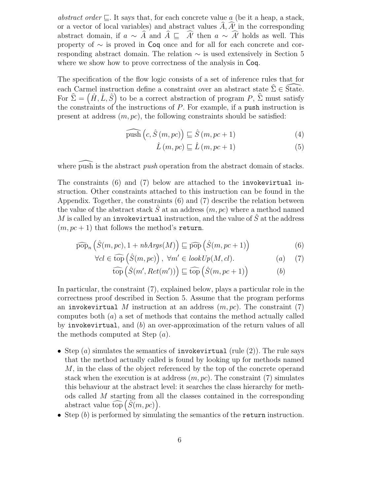abstract order  $\Box$ . It says that, for each concrete value a (be it a heap, a stack, or a vector of local variables) and abstract values  $\ddot{A}$ ,  $\dot{A'}$  in the corresponding abstract domain, if  $a \sim A$  and  $\overline{A} \subseteq A'$  then  $a \sim A'$  holds as well. This property of ∼ is proved in Coq once and for all for each concrete and corresponding abstract domain. The relation ∼ is used extensively in Section 5 where we show how to prove correctness of the analysis in Coq.

The specification of the flow logic consists of a set of inference rules that for each Carmel instruction define a constraint over an abstract state  $\hat{\Sigma} \in \hat{\mathcal{S}}$ tate. For  $\hat{\Sigma} = (\hat{H}, \hat{L}, \hat{S})$  to be a correct abstraction of program  $P$ ,  $\hat{\Sigma}$  must satisfy the constraints of the instructions of  $P$ . For example, if a push instruction is present at address  $(m, pc)$ , the following constraints should be satisfied:

$$
\widehat{\text{push}}(c, \hat{S}(m, pc)) \sqsubseteq \hat{S}(m, pc + 1)
$$
\n(4)

$$
\hat{L}(m, pc) \sqsubseteq \hat{L}(m, pc+1)
$$
\n(5)

where  $\widehat{\text{push}}$  is the abstract *push* operation from the abstract domain of stacks.

The constraints (6) and (7) below are attached to the invokevirtual instruction. Other constraints attached to this instruction can be found in the Appendix. Together, the constraints (6) and (7) describe the relation between the value of the abstract stack  $\tilde{S}$  at an address  $(m, pc)$  where a method named M is called by an invokevirtual instruction, and the value of  $\hat{S}$  at the address  $(m, pc + 1)$  that follows the method's return.

$$
\widehat{\text{pop}}_n\left(\hat{S}(m, pc), 1 + nbArgs(M)\right) \sqsubseteq \widehat{\text{pop}}\left(\hat{S}(m, pc+1)\right) \tag{6}
$$

$$
\forall cl \in \widehat{\text{top}}(\hat{S}(m, pc)), \ \forall m' \in \text{lookUp}(M, cl). \tag{7}
$$

$$
\widehat{\text{top}}\left(\hat{S}(m', Ret(m'))\right) \sqsubseteq \widehat{\text{top}}\left(\hat{S}(m,pc+1)\right) \tag{b}
$$

In particular, the constraint (7), explained below, plays a particular role in the correctness proof described in Section 5. Assume that the program performs an invokevirtual M instruction at an address  $(m, pc)$ . The constraint (7) computes both  $(a)$  a set of methods that contains the method actually called by invokevirtual, and (b) an over-approximation of the return values of all the methods computed at Step  $(a)$ .

- Step  $(a)$  simulates the semantics of **invokevirtual** (rule  $(2)$ ). The rule says that the method actually called is found by looking up for methods named M, in the class of the object referenced by the top of the concrete operand stack when the execution is at address  $(m, pc)$ . The constraint (7) simulates this behaviour at the abstract level: it searches the class hierarchy for methods called M starting from all the classes contained in the corresponding abstract value  $\widehat{\text{top}}(\widetilde{S}(m, pc)).$
- Step  $(b)$  is performed by simulating the semantics of the return instruction.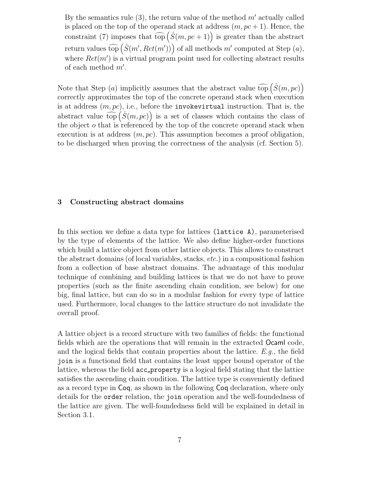By the semantics rule (3), the return value of the method  $m'$  actually called is placed on the top of the operand stack at address  $(m, pc + 1)$ . Hence, the constraint (7) imposes that  $\widehat{\text{top}}(\hat{S}(m, pc + 1))$  is greater than the abstract return values  $\widehat{\text{top}}\left(\hat{S}(m',Ret(m'))\right)$  of all methods m' computed at Step  $(a)$ , where  $Ret(m')$  is a virtual program point used for collecting abstract results of each method  $m'$ .

Note that Step (*a*) implicitly assumes that the abstract value  $\widehat{\text{top}}(\hat{S}(m, pc))$ correctly approximates the top of the concrete operand stack when execution is at address  $(m, pc)$ , i.e., before the invokevirtual instruction. That is, the abstract value  $\widehat{\text{top}}(\hat{S}(m, pc))$  is a set of classes which contains the class of the object  $o$  that is referenced by the top of the concrete operand stack when execution is at address  $(m, pc)$ . This assumption becomes a proof obligation, to be discharged when proving the correctness of the analysis (cf. Section 5).

#### 3 Constructing abstract domains

In this section we define a data type for lattices (lattice A), parameterised by the type of elements of the lattice. We also define higher-order functions which build a lattice object from other lattice objects. This allows to construct the abstract domains (of local variables, stacks, etc.) in a compositional fashion from a collection of base abstract domains. The advantage of this modular technique of combining and building lattices is that we do not have to prove properties (such as the finite ascending chain condition, see below) for one big, final lattice, but can do so in a modular fashion for every type of lattice used. Furthermore, local changes to the lattice structure do not invalidate the overall proof.

A lattice object is a record structure with two families of fields: the functional fields which are the operations that will remain in the extracted Ocaml code, and the logical fields that contain properties about the lattice.  $E.g.,$  the field join is a functional field that contains the least upper bound operator of the lattice, whereas the field acc property is a logical field stating that the lattice satisfies the ascending chain condition. The lattice type is conveniently defined as a record type in Coq, as shown in the following Coq declaration, where only details for the order relation, the join operation and the well-foundedness of the lattice are given. The well-foundedness field will be explained in detail in Section 3.1.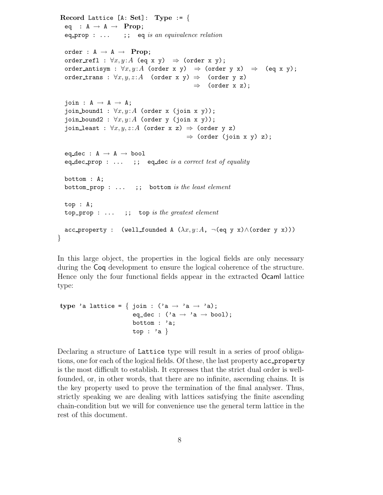```
Record Lattice [A: Set]: Type := \{eq : A \rightarrow A \rightarrow Prop;
 eq prop : \dots ;; eq is an equivalence relation
 order : A \rightarrow A \rightarrow Prop;
 order refl : \forall x, y: A (eq x y) \Rightarrow (order x y);
 order antisym : \forall x, y: A (order x y) \Rightarrow (order y x) \Rightarrow (eq x y);
 order trans : \forall x, y, z : A (order x y) \Rightarrow (order y z)
                                                \Rightarrow (order x z);
 \mathrm{join}: A \rightarrow A \rightarrow A;join bound1 : \forall x, y: A (order x (join x y));
 join_bound2 : \forall x, y: A (order y (join x y));
 join least : \forall x, y, z : A (order x z) \Rightarrow (order y z)
                                             \Rightarrow (order (join x y) z);
 eq_dec : A \rightarrow A \rightarrow booleq dec prop : \dots ;; eq dec is a correct test of equality
 bottom : A;
 bottom\_prop : ...;; bottom is the least element
 top : A;
 top\_prop : ... ;; top is the greatest element
 acc_property : (well_founded A (\lambda x, y : A, ¬(eq y x)\wedge(order y x)))
```
In this large object, the properties in the logical fields are only necessary during the Coq development to ensure the logical coherence of the structure. Hence only the four functional fields appear in the extracted Ocaml lattice type:

```
type 'a lattice = { join : ('a \rightarrow 'a \rightarrow 'a);
                            eq_dec : ('a \rightarrow 'a \rightarrow bool);
                            bottom : 'a;
                           top : a }
```
}

Declaring a structure of Lattice type will result in a series of proof obligations, one for each of the logical fields. Of these, the last property acc property is the most difficult to establish. It expresses that the strict dual order is wellfounded, or, in other words, that there are no infinite, ascending chains. It is the key property used to prove the termination of the final analyser. Thus, strictly speaking we are dealing with lattices satisfying the finite ascending chain-condition but we will for convenience use the general term lattice in the rest of this document.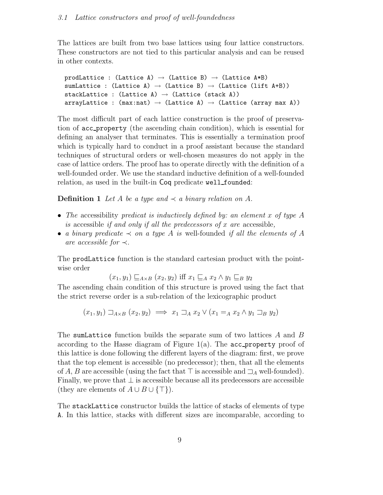The lattices are built from two base lattices using four lattice constructors. These constructors are not tied to this particular analysis and can be reused in other contexts.

```
prodLattice : (Lattice A) \rightarrow (Lattice B) \rightarrow (Lattice A*B)
sumLattice : (Lattice A) \rightarrow (Lattice B) \rightarrow (Lattice (lift A+B))
stackLattice : (Lattice A) \rightarrow (Lattice (stack A))
arrayLattice : (max:nat) \rightarrow (Lattice A) \rightarrow (Lattice (array max A))
```
The most difficult part of each lattice construction is the proof of preservation of acc property (the ascending chain condition), which is essential for defining an analyser that terminates. This is essentially a termination proof which is typically hard to conduct in a proof assistant because the standard techniques of structural orders or well-chosen measures do not apply in the case of lattice orders. The proof has to operate directly with the definition of a well-founded order. We use the standard inductive definition of a well-founded relation, as used in the built-in Coq predicate well founded:

**Definition 1** Let A be a type and  $\prec$  a binary relation on A.

- The accessibility predicat is inductively defined by: an element x of type  $A$ is accessible *if and only if all the predecessors of x are accessible*,
- a binary predicate  $\prec$  on a type A is well-founded if all the elements of A are accessible for  $\prec$ .

The prodLattice function is the standard cartesian product with the pointwise order

 $(x_1, y_1) \sqsubseteq_{A \times B} (x_2, y_2)$  iff  $x_1 \sqsubseteq_A x_2 \wedge y_1 \sqsubseteq_B y_2$ 

The ascending chain condition of this structure is proved using the fact that the strict reverse order is a sub-relation of the lexicographic product

$$
(x_1, y_1) \sqsupset_{A \times B} (x_2, y_2) \implies x_1 \sqsupset_A x_2 \vee (x_1 =_A x_2 \wedge y_1 \sqsupset_B y_2)
$$

The sumLattice function builds the separate sum of two lattices  $A$  and  $B$ according to the Hasse diagram of Figure  $1(a)$ . The acc\_property proof of this lattice is done following the different layers of the diagram: first, we prove that the top element is accessible (no predecessor); then, that all the elements of A, B are accessible (using the fact that  $\top$  is accessible and  $\Box_A$  well-founded). Finally, we prove that  $\perp$  is accessible because all its predecessors are accessible (they are elements of  $A \cup B \cup \{\top\}$ ).

The stackLattice constructor builds the lattice of stacks of elements of type A. In this lattice, stacks with different sizes are incomparable, according to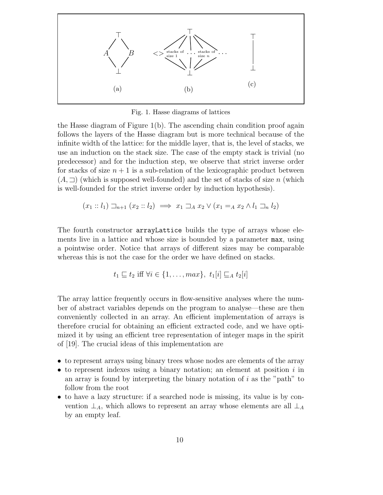

Fig. 1. Hasse diagrams of lattices

the Hasse diagram of Figure 1(b). The ascending chain condition proof again follows the layers of the Hasse diagram but is more technical because of the infinite width of the lattice: for the middle layer, that is, the level of stacks, we use an induction on the stack size. The case of the empty stack is trivial (no predecessor) and for the induction step, we observe that strict inverse order for stacks of size  $n + 1$  is a sub-relation of the lexicographic product between  $(A, \Box)$  (which is supposed well-founded) and the set of stacks of size n (which is well-founded for the strict inverse order by induction hypothesis).

$$
(x_1 :: l_1) \sqsupset_{n+1} (x_2 :: l_2) \implies x_1 \sqsupset_A x_2 \vee (x_1 =_A x_2 \wedge l_1 \sqsupset_R l_2)
$$

The fourth constructor arrayLattice builds the type of arrays whose elements live in a lattice and whose size is bounded by a parameter max, using a pointwise order. Notice that arrays of different sizes may be comparable whereas this is not the case for the order we have defined on stacks.

$$
t_1 \sqsubseteq t_2 \text{ iff } \forall i \in \{1, \ldots, \max\}, \ t_1[i] \sqsubseteq_A t_2[i]
$$

The array lattice frequently occurs in flow-sensitive analyses where the number of abstract variables depends on the program to analyse—these are then conveniently collected in an array. An efficient implementation of arrays is therefore crucial for obtaining an efficient extracted code, and we have optimized it by using an efficient tree representation of integer maps in the spirit of [19]. The crucial ideas of this implementation are

- to represent arrays using binary trees whose nodes are elements of the array
- to represent indexes using a binary notation; an element at position  $i$  in an array is found by interpreting the binary notation of  $i$  as the "path" to follow from the root
- to have a lazy structure: if a searched node is missing, its value is by convention  $\perp_A$ , which allows to represent an array whose elements are all  $\perp_A$ by an empty leaf.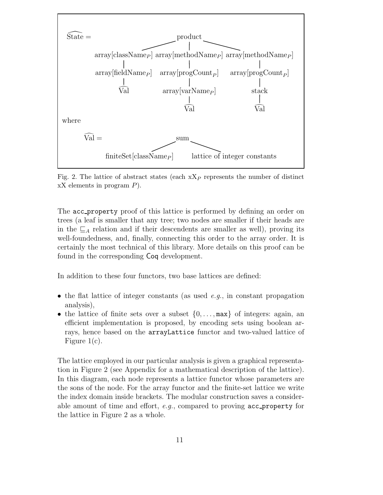

Fig. 2. The lattice of abstract states (each  $xX_P$  represents the number of distinct  $\overline{X}X$  elements in program  $P$ ).

The acc property proof of this lattice is performed by defining an order on trees (a leaf is smaller that any tree; two nodes are smaller if their heads are in the  $\sqsubseteq_A$  relation and if their descendents are smaller as well), proving its well-foundedness, and, finally, connecting this order to the array order. It is certainly the most technical of this library. More details on this proof can be found in the corresponding Coq development.

In addition to these four functors, two base lattices are defined:

- the flat lattice of integer constants (as used  $e.g.,$  in constant propagation analysis),
- the lattice of finite sets over a subset  $\{0, \ldots, \max\}$  of integers: again, an efficient implementation is proposed, by encoding sets using boolean arrays, hence based on the arrayLattice functor and two-valued lattice of Figure 1(c).

The lattice employed in our particular analysis is given a graphical representation in Figure 2 (see Appendix for a mathematical description of the lattice). In this diagram, each node represents a lattice functor whose parameters are the sons of the node. For the array functor and the finite-set lattice we write the index domain inside brackets. The modular construction saves a considerable amount of time and effort,  $e.g.,$  compared to proving  $acc\_property$  for the lattice in Figure 2 as a whole.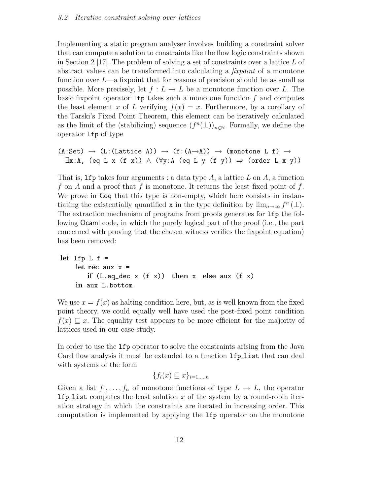Implementing a static program analyser involves building a constraint solver that can compute a solution to constraints like the flow logic constraints shown in Section 2 [17]. The problem of solving a set of constraints over a lattice  $L$  of abstract values can be transformed into calculating a *fixpoint* of a monotone function over  $L$ —a fixpoint that for reasons of precision should be as small as possible. More precisely, let  $f: L \to L$  be a monotone function over L. The basic fixpoint operator  $1fp$  takes such a monotone function f and computes the least element x of L verifying  $f(x) = x$ . Furthermore, by a corollary of the Tarski's Fixed Point Theorem, this element can be iteratively calculated as the limit of the (stabilizing) sequence  $(f^n(\perp))_{n\in\mathbb{N}}$ . Formally, we define the operator lfp of type

```
(A:Set) \rightarrow (L: (Lattice A)) \rightarrow (f:(A \rightarrow A)) \rightarrow (monotone L f) \rightarrow\exists x:A, (eq L x (f x)) \wedge (∀y:A (eq L y (f y)) \Rightarrow (order L x y))
```
That is, 1fp takes four arguments : a data type  $A$ , a lattice  $L$  on  $A$ , a function f on A and a proof that f is monotone. It returns the least fixed point of f. We prove in Coq that this type is non-empty, which here consists in instantiating the existentially quantified **x** in the type definition by  $\lim_{n\to\infty} f^n(\perp)$ . The extraction mechanism of programs from proofs generates for lfp the following Ocaml code, in which the purely logical part of the proof (i.e., the part concerned with proving that the chosen witness verifies the fixpoint equation) has been removed:

```
let lf p L f =let rec aux x =if (L.eq\_dec x (f x)) then x else aux (f x)in aux L.bottom
```
We use  $x = f(x)$  as halting condition here, but, as is well known from the fixed point theory, we could equally well have used the post-fixed point condition  $f(x) \sqsubset x$ . The equality test appears to be more efficient for the majority of lattices used in our case study.

In order to use the lfp operator to solve the constraints arising from the Java Card flow analysis it must be extended to a function **lfp** list that can deal with systems of the form

$$
\{f_i(x) \sqsubseteq x\}_{i=1,\dots,n}
$$

Given a list  $f_1, \ldots, f_n$  of monotone functions of type  $L \to L$ , the operator **lfp** list computes the least solution x of the system by a round-robin iteration strategy in which the constraints are iterated in increasing order. This computation is implemented by applying the lfp operator on the monotone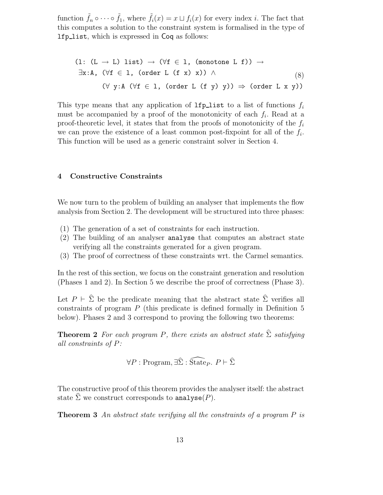function  $\tilde{f}_n \circ \cdots \circ \tilde{f}_1$ , where  $\tilde{f}_i(x) = x \sqcup f_i(x)$  for every index *i*. The fact that this computes a solution to the constraint system is formalised in the type of lfp list, which is expressed in Coq as follows:

$$
(1: (L \rightarrow L) list) \rightarrow (\forall f \in 1, (monotone L f)) \rightarrow
$$
  

$$
\exists x:A, (\forall f \in 1, (order L (f x) x)) \land
$$
  

$$
(\forall y:A (\forall f \in 1, (order L (f y) y)) \Rightarrow (order L x y))
$$

This type means that any application of lfp list to a list of functions  $f_i$ must be accompanied by a proof of the monotonicity of each  $f_i$ . Read at a proof-theoretic level, it states that from the proofs of monotonicity of the  $f_i$ we can prove the existence of a least common post-fixpoint for all of the  $f_i$ . This function will be used as a generic constraint solver in Section 4.

#### 4 Constructive Constraints

We now turn to the problem of building an analyser that implements the flow analysis from Section 2. The development will be structured into three phases:

- (1) The generation of a set of constraints for each instruction.
- (2) The building of an analyser analyse that computes an abstract state verifying all the constraints generated for a given program.
- (3) The proof of correctness of these constraints wrt. the Carmel semantics.

In the rest of this section, we focus on the constraint generation and resolution (Phases 1 and 2). In Section 5 we describe the proof of correctness (Phase 3).

Let  $P \vdash \hat{\Sigma}$  be the predicate meaning that the abstract state  $\hat{\Sigma}$  verifies all constraints of program  $P$  (this predicate is defined formally in Definition 5) below). Phases 2 and 3 correspond to proving the following two theorems:

**Theorem 2** For each program P, there exists an abstract state  $\hat{\Sigma}$  satisfying all constraints of P:

$$
\forall P : \text{Program}, \exists \widehat{\Sigma} : \widehat{\text{State}}_P. \ P \vdash \widehat{\Sigma}
$$

The constructive proof of this theorem provides the analyser itself: the abstract state  $\hat{\Sigma}$  we construct corresponds to analyse(P).

**Theorem 3** An abstract state verifying all the constraints of a program  $P$  is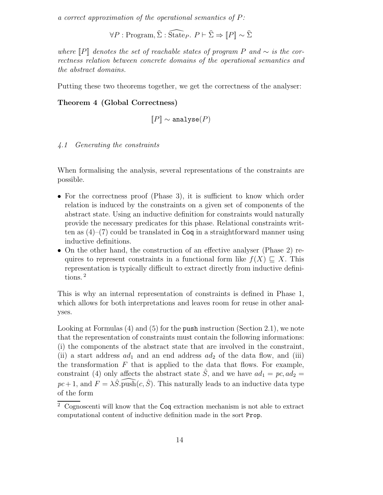a correct approximation of the operational semantics of P:

 $\forall P : \text{Program}, \hat{\Sigma} : \widehat{\text{State}}_P. P \vdash \hat{\Sigma} \Rightarrow \llbracket P \rrbracket \sim \hat{\Sigma}$ 

where  $\llbracket P \rrbracket$  denotes the set of reachable states of program P and  $\sim$  is the correctness relation between concrete domains of the operational semantics and the abstract domains.

Putting these two theorems together, we get the correctness of the analyser:

#### Theorem 4 (Global Correctness)

$$
[\![P]\!] \sim \texttt{analyze}(P)
$$

#### 4.1 Generating the constraints

When formalising the analysis, several representations of the constraints are possible.

- For the correctness proof (Phase 3), it is sufficient to know which order relation is induced by the constraints on a given set of components of the abstract state. Using an inductive definition for constraints would naturally provide the necessary predicates for this phase. Relational constraints written as  $(4)$ – $(7)$  could be translated in Coq in a straightforward manner using inductive definitions.
- On the other hand, the construction of an effective analyser (Phase 2) requires to represent constraints in a functional form like  $f(X) \sqsubset X$ . This representation is typically difficult to extract directly from inductive definitions. <sup>2</sup>

This is why an internal representation of constraints is defined in Phase 1, which allows for both interpretations and leaves room for reuse in other analyses.

Looking at Formulas (4) and (5) for the push instruction (Section 2.1), we note that the representation of constraints must contain the following informations: (i) the components of the abstract state that are involved in the constraint, (ii) a start address  $ad_1$  and an end address  $ad_2$  of the data flow, and (iii) the transformation  $F$  that is applied to the data that flows. For example, constraint (4) only affects the abstract state  $\ddot{S}$ , and we have  $ad_1 = pc$ ,  $ad_2 =$  $pc + 1$ , and  $F = \lambda \hat{S}$ .  $\widehat{\text{push}}(c, \hat{S})$ . This naturally leads to an inductive data type of the form

<sup>2</sup> Cognoscenti will know that the Coq extraction mechanism is not able to extract computational content of inductive definition made in the sort Prop.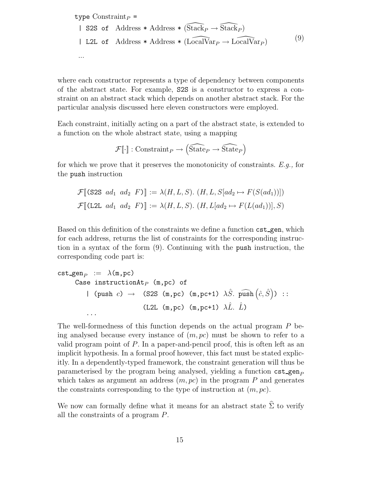type  $Constraint_P =$ | S2S of Address \* Address \*  $(\widehat{\text{Stack}}_P \rightarrow \widehat{\text{Stack}}_P )$ | L2L of Address \* Address \*  $(LocalVar_P \rightarrow LocalVar_P )$ ... (9)

where each constructor represents a type of dependency between components of the abstract state. For example, S2S is a constructor to express a constraint on an abstract stack which depends on another abstract stack. For the particular analysis discussed here eleven constructors were employed.

Each constraint, initially acting on a part of the abstract state, is extended to a function on the whole abstract state, using a mapping

$$
\mathcal{F}[\![\cdot]\!]:\mathrm{Constraint}_P\rightarrow\widehat{\mathrm{State}}_P\rightarrow\widehat{\mathrm{State}}_P\Big)
$$

for which we prove that it preserves the monotonicity of constraints.  $E.g.,$  for the push instruction

$$
\mathcal{F}[(S2S \ ad_1 \ ad_2 F)] := \lambda(H, L, S). (H, L, S[ad_2 \mapsto F(S(ad_1))])
$$
  

$$
\mathcal{F}[(\text{L2L } ad_1 \ ad_2 F)] := \lambda(H, L, S). (H, L[ad_2 \mapsto F(L(ad_1))], S)
$$

Based on this definition of the constraints we define a function cst gen, which for each address, returns the list of constraints for the corresponding instruction in a syntax of the form (9). Continuing with the push instruction, the corresponding code part is:

$$
\begin{array}{rcl}\n\texttt{cst\_gen}_P & := & \lambda(\texttt{m}, \texttt{pc}) \\
\texttt{Case instructionAt}_P & (\texttt{m}, \texttt{pc}) \texttt{ of} \\
 & | & (\texttt{push } c) \rightarrow (\texttt{S2S} (\texttt{m}, \texttt{pc}) (\texttt{m}, \texttt{pc+1}) \lambda \hat{S}. \texttt{ push} (\hat{c}, \hat{S})) \; : : \\
 & & (\texttt{L2L} (\texttt{m}, \texttt{pc}) (\texttt{m}, \texttt{pc+1}) \lambda \hat{L}. \; \hat{L})\n\end{array}
$$

The well-formedness of this function depends on the actual program P being analysed because every instance of  $(m, pc)$  must be shown to refer to a valid program point of P. In a paper-and-pencil proof, this is often left as an implicit hypothesis. In a formal proof however, this fact must be stated explicitly. In a dependently-typed framework, the constraint generation will thus be parameterised by the program being analysed, yielding a function  $cst\_gen_P$ which takes as argument an address  $(m, pc)$  in the program P and generates the constraints corresponding to the type of instruction at  $(m, pc)$ .

We now can formally define what it means for an abstract state  $\hat{\Sigma}$  to verify all the constraints of a program P.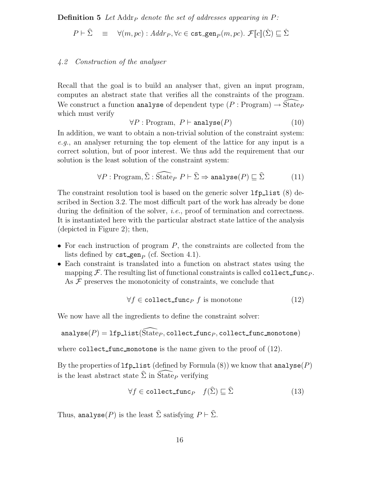**Definition 5** Let Addr<sub>P</sub> denote the set of addresses appearing in  $P$ :

$$
P \vdash \hat{\Sigma} \equiv \forall (m, pc) : Addr_P, \forall c \in \texttt{cst\_gen}_P(m, pc). \ \mathcal{F}[\![c]\!](\hat{\Sigma}) \sqsubseteq \hat{\Sigma}
$$

#### 4.2 Construction of the analyser

Recall that the goal is to build an analyser that, given an input program, computes an abstract state that verifies all the constraints of the program. We construct a function analyse of dependent type  $(P : Program) \rightarrow \tilde{S}$  take which must verify

$$
\forall P : \text{Program}, \ P \vdash \text{analyze}(P) \tag{10}
$$

In addition, we want to obtain a non-trivial solution of the constraint system: e.g., an analyser returning the top element of the lattice for any input is a correct solution, but of poor interest. We thus add the requirement that our solution is the least solution of the constraint system:

$$
\forall P : \text{Program}, \hat{\Sigma} : \widehat{\text{State}}_P \ P \vdash \hat{\Sigma} \Rightarrow \text{analyze}(P) \sqsubseteq \hat{\Sigma} \tag{11}
$$

The constraint resolution tool is based on the generic solver  $1fp\_list(8)$  described in Section 3.2. The most difficult part of the work has already be done during the definition of the solver, *i.e.*, proof of termination and correctness. It is instantiated here with the particular abstract state lattice of the analysis (depicted in Figure 2); then,

- For each instruction of program  $P$ , the constraints are collected from the lists defined by  $\texttt{cst\_gen}_P$  (cf. Section 4.1).
- Each constraint is translated into a function on abstract states using the mapping  $\mathcal F$ . The resulting list of functional constraints is called collect func<sub>P</sub>. As  $\mathcal F$  preserves the monotonicity of constraints, we conclude that

$$
\forall f \in \text{collect\_func}_P \ f \text{ is monotone} \tag{12}
$$

We now have all the ingredients to define the constraint solver:

$$
\verb+analyse+(P)=1fp\_list(\widehat{\mathsf{State}}_P,\verb+collect_function_P,\verb+collect_function_monotone)+
$$

where collect func monotone is the name given to the proof of  $(12)$ .

By the properties of  $lfp\_list$  (defined by Formula (8)) we know that analyse(P) is the least abstract state  $\hat{\Sigma}$  in  $\tilde{\mathrm{State}}_P$  verifying

$$
\forall f \in \text{collect\_func}_P \quad f(\hat{\Sigma}) \sqsubseteq \hat{\Sigma} \tag{13}
$$

Thus, analyse(P) is the least  $\hat{\Sigma}$  satisfying  $P \vdash \hat{\Sigma}$ .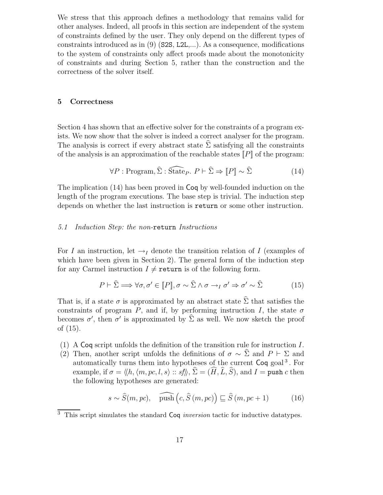We stress that this approach defines a methodology that remains valid for other analyses. Indeed, all proofs in this section are independent of the system of constraints defined by the user. They only depend on the different types of constraints introduced as in  $(9)$  (S2S, L2L,...). As a consequence, modifications to the system of constraints only affect proofs made about the monotonicity of constraints and during Section 5, rather than the construction and the correctness of the solver itself.

#### 5 Correctness

Section 4 has shown that an effective solver for the constraints of a program exists. We now show that the solver is indeed a correct analyser for the program. The analysis is correct if every abstract state  $\hat{\Sigma}$  satisfying all the constraints of the analysis is an approximation of the reachable states  $\llbracket P \rrbracket$  of the program:

$$
\forall P : \text{Program}, \hat{\Sigma} : \widehat{\text{State}}_P. \ P \vdash \hat{\Sigma} \Rightarrow [P] \sim \hat{\Sigma}
$$
 (14)

The implication (14) has been proved in Coq by well-founded induction on the length of the program executions. The base step is trivial. The induction step depends on whether the last instruction is return or some other instruction.

#### 5.1 Induction Step: the non-return Instructions

For I an instruction, let  $\rightarrow_I$  denote the transition relation of I (examples of which have been given in Section 2). The general form of the induction step for any Carmel instruction  $I \neq \text{return}$  is of the following form.

$$
P \vdash \hat{\Sigma} \Longrightarrow \forall \sigma, \sigma' \in [P], \sigma \sim \hat{\Sigma} \land \sigma \to_I \sigma' \Rightarrow \sigma' \sim \hat{\Sigma}
$$
 (15)

That is, if a state  $\sigma$  is approximated by an abstract state  $\hat{\Sigma}$  that satisfies the constraints of program P, and if, by performing instruction I, the state  $\sigma$ becomes  $\sigma'$ , then  $\sigma'$  is approximated by  $\hat{\Sigma}$  as well. We now sketch the proof of (15).

- (1) A Coq script unfolds the definition of the transition rule for instruction  $I$ .
- (2) Then, another script unfolds the definitions of  $\sigma \sim \Sigma$  and  $P \vdash \Sigma$  and automatically turns them into hypotheses of the current Coq goal<sup>3</sup>. For example, if  $\sigma = \langle h, \langle m, pc, l, s \rangle :: sf \rangle, \hat{\Sigma} = (\widehat{H}, \widehat{L}, \widehat{S})$ , and  $I = \text{push } c$  then the following hypotheses are generated:

$$
s \sim \widehat{S}(m, pc), \quad \widehat{\text{push}}(c, \widehat{S}(m, pc)) \sqsubseteq \widehat{S}(m, pc + 1)
$$
 (16)

 $\overline{3}$  This script simulates the standard Coq *inversion* tactic for inductive datatypes.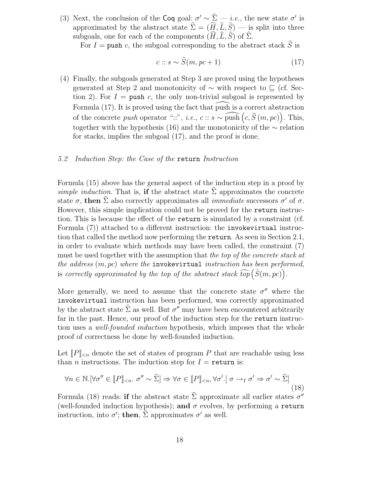(3) Next, the conclusion of the Coq goal:  $\sigma' \sim \hat{\Sigma} - i.e.$ , the new state  $\sigma'$  is approximated by the abstract state  $\hat{\Sigma} = (\widehat{H}, \widehat{L}, \widehat{S})$  — is split into three subgoals, one for each of the components  $(\widehat{H}, \widehat{L}, \widehat{S})$  of  $\widehat{\Sigma}$ .

For  $I = \text{push } c$ , the subgoal corresponding to the abstract stack  $\tilde{S}$  is

$$
c:: s \sim \hat{S}(m, pc+1)
$$
 (17)

(4) Finally, the subgoals generated at Step 3 are proved using the hypotheses generated at Step 2 and monotonicity of  $\sim$  with respect to  $\subset$  (cf. Section 2). For  $I = \text{push } c$ , the only non-trivial subgoal is represented by Formula  $(17)$ . It is proved using the fact that push is a correct abstraction of the concrete push operator "::", i.e.,  $c$  ::  $s \sim \widehat{\text{push}}(c, \widehat{S}(m, pc))$ . This, together with the hypothesis (16) and the monotonicity of the ∼ relation for stacks, implies the subgoal (17), and the proof is done.

#### 5.2 Induction Step: the Case of the return Instruction

Formula (15) above has the general aspect of the induction step in a proof by simple induction. That is, if the abstract state  $\hat{\Sigma}$  approximates the concrete state  $\sigma$ , then  $\hat{\Sigma}$  also correctly approximates all *immediate* successors  $\sigma'$  of  $\sigma$ . However, this simple implication could not be proved for the return instruction. This is because the effect of the return is simulated by a constraint (cf. Formula (7)) attached to a different instruction: the invokevirtual instruction that called the method now performing the return. As seen in Section 2.1, in order to evaluate which methods may have been called, the constraint (7) must be used together with the assumption that the top of the concrete stack at the address  $(m, pc)$  where the invokevirtual instruction has been performed, is correctly approximated by the top of the abstract stack  $\widehat{top}\left(\hat{S}(m,pc)\right)$ .

More generally, we need to assume that the concrete state  $\sigma''$  where the invokevirtual instruction has been performed, was correctly approximated by the abstract state  $\hat{\Sigma}$  as well. But  $\sigma''$  may have been encountered arbitrarily far in the past. Hence, our proof of the induction step for the return instruction uses a *well-founded induction* hypothesis, which imposes that the whole proof of correctness be done by well-founded induction.

Let  $[P]_{\leq n}$  denote the set of states of program P that are reachable using less than *n* instructions. The induction step for  $I =$  return is:

$$
\forall n \in \mathbb{N}. [\forall \sigma'' \in [P]_{< n}. \sigma'' \sim \hat{\Sigma}] \Rightarrow \forall \sigma \in [P]_{< n}, \forall \sigma'. [\sigma \rightarrow_I \sigma' \Rightarrow \sigma' \sim \hat{\Sigma}] \tag{18}
$$

Formula (18) reads: **if** the abstract state  $\hat{\Sigma}$  approximate all earlier states  $\sigma''$ (well-founded induction hypothesis); and  $\sigma$  evolves, by performing a return instruction, into  $\sigma'$ ; then,  $\hat{\Sigma}$  approximates  $\sigma'$  as well.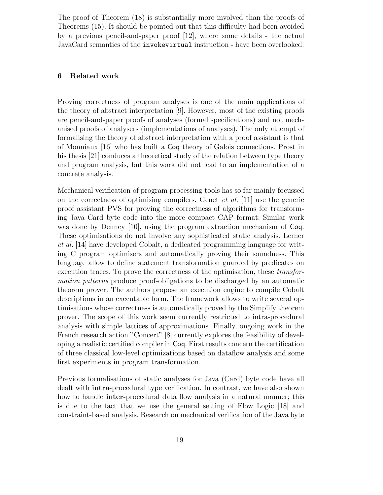The proof of Theorem (18) is substantially more involved than the proofs of Theorems (15). It should be pointed out that this difficulty had been avoided by a previous pencil-and-paper proof [12], where some details - the actual JavaCard semantics of the invokevirtual instruction - have been overlooked.

#### 6 Related work

Proving correctness of program analyses is one of the main applications of the theory of abstract interpretation [9]. However, most of the existing proofs are pencil-and-paper proofs of analyses (formal specifications) and not mechanised proofs of analysers (implementations of analyses). The only attempt of formalising the theory of abstract interpretation with a proof assistant is that of Monniaux [16] who has built a Coq theory of Galois connections. Prost in his thesis [21] conduces a theoretical study of the relation between type theory and program analysis, but this work did not lead to an implementation of a concrete analysis.

Mechanical verification of program processing tools has so far mainly focussed on the correctness of optimising compilers. Genet et al. [11] use the generic proof assistant PVS for proving the correctness of algorithms for transforming Java Card byte code into the more compact CAP format. Similar work was done by Denney [10], using the program extraction mechanism of Coq. These optimisations do not involve any sophisticated static analysis. Lerner et al. [14] have developed Cobalt, a dedicated programming language for writing C program optimisers and automatically proving their soundness. This language allow to define statement transformation guarded by predicates on execution traces. To prove the correctness of the optimisation, these transformation patterns produce proof-obligations to be discharged by an automatic theorem prover. The authors propose an execution engine to compile Cobalt descriptions in an executable form. The framework allows to write several optimisations whose correctness is automatically proved by the Simplify theorem prover. The scope of this work seem currently restricted to intra-procedural analysis with simple lattices of approximations. Finally, ongoing work in the French research action "Concert" [8] currently explores the feasibility of developing a realistic certified compiler in Coq. First results concern the certification of three classical low-level optimizations based on dataflow analysis and some first experiments in program transformation.

Previous formalisations of static analyses for Java (Card) byte code have all dealt with intra-procedural type verification. In contrast, we have also shown how to handle **inter-**procedural data flow analysis in a natural manner; this is due to the fact that we use the general setting of Flow Logic [18] and constraint-based analysis. Research on mechanical verification of the Java byte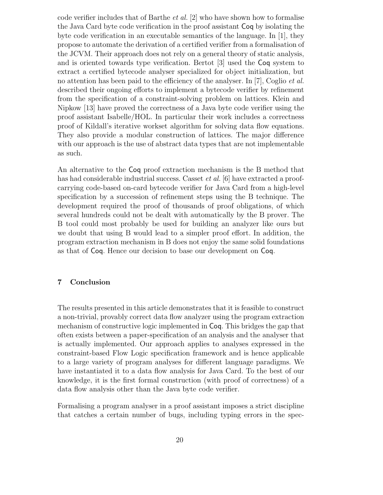code verifier includes that of Barthe et al. [2] who have shown how to formalise the Java Card byte code verification in the proof assistant Coq by isolating the byte code verification in an executable semantics of the language. In [1], they propose to automate the derivation of a certified verifier from a formalisation of the JCVM. Their approach does not rely on a general theory of static analysis, and is oriented towards type verification. Bertot [3] used the Coq system to extract a certified bytecode analyser specialized for object initialization, but no attention has been paid to the efficiency of the analyser. In [7], Coglio *et al.* described their ongoing efforts to implement a bytecode verifier by refinement from the specification of a constraint-solving problem on lattices. Klein and Nipkow [13] have proved the correctness of a Java byte code verifier using the proof assistant Isabelle/HOL. In particular their work includes a correctness proof of Kildall's iterative workset algorithm for solving data flow equations. They also provide a modular construction of lattices. The major difference with our approach is the use of abstract data types that are not implementable as such.

An alternative to the Coq proof extraction mechanism is the B method that has had considerable industrial success. Casset *et al.* [6] have extracted a proofcarrying code-based on-card bytecode verifier for Java Card from a high-level specification by a succession of refinement steps using the B technique. The development required the proof of thousands of proof obligations, of which several hundreds could not be dealt with automatically by the B prover. The B tool could most probably be used for building an analyzer like ours but we doubt that using B would lead to a simpler proof effort. In addition, the program extraction mechanism in B does not enjoy the same solid foundations as that of Coq. Hence our decision to base our development on Coq.

#### 7 Conclusion

The results presented in this article demonstrates that it is feasible to construct a non-trivial, provably correct data flow analyzer using the program extraction mechanism of constructive logic implemented in Coq. This bridges the gap that often exists between a paper-specification of an analysis and the analyser that is actually implemented. Our approach applies to analyses expressed in the constraint-based Flow Logic specification framework and is hence applicable to a large variety of program analyses for different language paradigms. We have instantiated it to a data flow analysis for Java Card. To the best of our knowledge, it is the first formal construction (with proof of correctness) of a data flow analysis other than the Java byte code verifier.

Formalising a program analyser in a proof assistant imposes a strict discipline that catches a certain number of bugs, including typing errors in the spec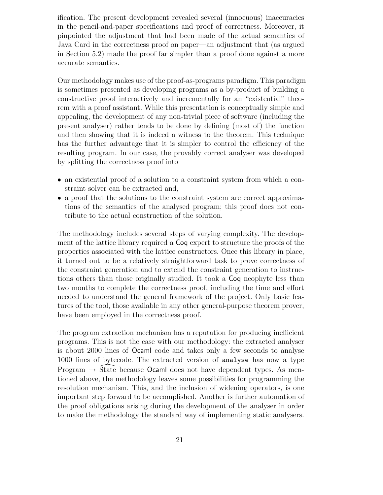ification. The present development revealed several (innocuous) inaccuracies in the pencil-and-paper specifications and proof of correctness. Moreover, it pinpointed the adjustment that had been made of the actual semantics of Java Card in the correctness proof on paper—an adjustment that (as argued in Section 5.2) made the proof far simpler than a proof done against a more accurate semantics.

Our methodology makes use of the proof-as-programs paradigm. This paradigm is sometimes presented as developing programs as a by-product of building a constructive proof interactively and incrementally for an "existential" theorem with a proof assistant. While this presentation is conceptually simple and appealing, the development of any non-trivial piece of software (including the present analyser) rather tends to be done by defining (most of) the function and then showing that it is indeed a witness to the theorem. This technique has the further advantage that it is simpler to control the efficiency of the resulting program. In our case, the provably correct analyser was developed by splitting the correctness proof into

- an existential proof of a solution to a constraint system from which a constraint solver can be extracted and,
- a proof that the solutions to the constraint system are correct approximations of the semantics of the analysed program; this proof does not contribute to the actual construction of the solution.

The methodology includes several steps of varying complexity. The development of the lattice library required a Coq expert to structure the proofs of the properties associated with the lattice constructors. Once this library in place, it turned out to be a relatively straightforward task to prove correctness of the constraint generation and to extend the constraint generation to instructions others than those originally studied. It took a Coq neophyte less than two months to complete the correctness proof, including the time and effort needed to understand the general framework of the project. Only basic features of the tool, those available in any other general-purpose theorem prover, have been employed in the correctness proof.

The program extraction mechanism has a reputation for producing inefficient programs. This is not the case with our methodology: the extracted analyser is about 2000 lines of Ocaml code and takes only a few seconds to analyse 1000 lines of bytecode. The extracted version of analyse has now a type Program  $\rightarrow$  State because Ocaml does not have dependent types. As mentioned above, the methodology leaves some possibilities for programming the resolution mechanism. This, and the inclusion of widening operators, is one important step forward to be accomplished. Another is further automation of the proof obligations arising during the development of the analyser in order to make the methodology the standard way of implementing static analysers.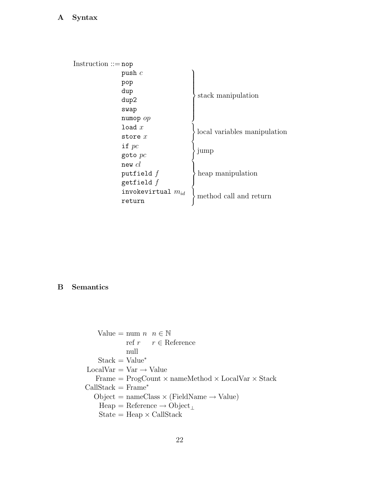### A Syntax

| $Instruction ::= \mathsf{nop}$ |                        |                              |
|--------------------------------|------------------------|------------------------------|
|                                | push $c$               |                              |
|                                | pop                    | stack manipulation           |
|                                | dup                    |                              |
|                                | dup2                   |                              |
|                                | swap                   |                              |
|                                | numop $op$             |                              |
|                                | load x                 | local variables manipulation |
|                                | store $x$              |                              |
|                                | if $pc$                | jump<br>heap manipulation    |
|                                | $goto$ $pc$            |                              |
|                                | $new$ $cl$             |                              |
|                                | putfield $f$           |                              |
|                                | getfield $f$           |                              |
|                                | invokevirtual $m_{id}$ | method call and return       |
|                                | return                 |                              |
|                                |                        |                              |

### B Semantics

Value = num  $n \ n \in \mathbb{N}$ ref $r \quad \ r \in {\rm Reference}$ null  $Stack = Value^*$  $\operatorname{LocalVar} = \operatorname{Var} \to \operatorname{Value}$  $\text{Frame} = \text{ProgCount} \times \text{nameMethod} \times \text{LocalVar} \times \text{Stack}$  $CallStack = Frame^*$  $Object = nameClass \times (FieldName \rightarrow Value)$ Heap = Reference  $\rightarrow$  Object<sub>⊥</sub>  $State = Heap \times CallStack$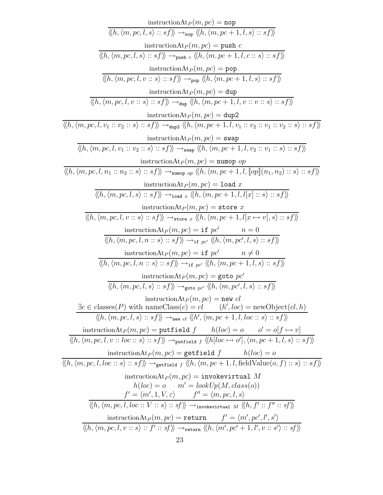| $\text{instructionAt}_P(m,pc) = \texttt{nop}$                                                                                                                                                                                                                                                                                 |
|-------------------------------------------------------------------------------------------------------------------------------------------------------------------------------------------------------------------------------------------------------------------------------------------------------------------------------|
| $\langle\!\langle h, \langle m, pc, l, s \rangle\, :: \, sf \rangle\!\rangle \rightarrow_{\mathtt{nop}} \langle\!\langle h, \langle m, pc+1, l, s \rangle\, :: \, sf \rangle\!\rangle$                                                                                                                                        |
| instruction $\text{At}_P(m,pc) = \text{push } c$                                                                                                                                                                                                                                                                              |
| $\langle\langle h, \langle m, pc, l, s \rangle :: sf \rangle\rangle \rightarrow_{\text{push } c} \langle\langle h, \langle m, pc+1, l, c :: s \rangle :: sf \rangle\rangle$                                                                                                                                                   |
| $\text{instructionAt}_P(m,pc) = \text{pop}$                                                                                                                                                                                                                                                                                   |
| $\langle\langle h, \langle m, pc, l, v : s \rangle : s \rangle \rangle \rightarrow_{\text{pop}} \langle\langle h, \langle m, pc + 1, l, s \rangle : s \rangle \rangle$                                                                                                                                                        |
| instruction $\text{At}_P(m,pc) = \text{dup}$                                                                                                                                                                                                                                                                                  |
| $\langle\langle h, \langle m, pc, l, v : s \rangle : s \rangle \rangle \rightarrow_{\text{dup}} \langle\langle h, \langle m, pc + 1, l, v : v : s \rangle : s \rangle \rangle$                                                                                                                                                |
| instruction $\text{At}_P(m,pc) = \text{dup2}$                                                                                                                                                                                                                                                                                 |
| $\langle\langle h, \langle m, pc, l, v_1 :: v_2 :: s \rangle :: sf \rangle\rangle \rightarrow_{\text{dup2}} \langle\langle h, \langle m, pc + 1, l, v_1 :: v_2 :: v_1 :: v_2 :: s \rangle :: sf \rangle\rangle$                                                                                                               |
| $\text{instructionAt}_P(m,pc) = \texttt{swap}$                                                                                                                                                                                                                                                                                |
| $\langle\langle h, \langle m, pc, l, v_1 :: v_2 :: s \rangle :: s f \rangle\rangle \rightarrow_{\text{swap}} \langle\langle h, \langle m, pc+1, l, v_2 :: v_1 :: s \rangle :: s f \rangle\rangle$                                                                                                                             |
| instruction $\text{At}_P(m,pc) =$ numop op                                                                                                                                                                                                                                                                                    |
| $\langle\langle h, \langle m, pc, l, n_1 : : n_2 : : s \rangle : : s f \rangle\rangle \rightarrow_{\text{number } op} \langle\langle h, \langle m, pc + 1, l, [op](n_1, n_2) : : s \rangle : : s f \rangle\rangle$                                                                                                            |
| instruction $\text{At}_P(m,pc) = 1$ oad x                                                                                                                                                                                                                                                                                     |
| $\langle\!\langle h, \langle m, pc, l, s \rangle :: sf \rangle\!\rangle \rightarrow_{\texttt{load } x} \langle\!\langle h, \langle m, pc+1, l, l[x] :: s \rangle :: sf \rangle\!\rangle$                                                                                                                                      |
| instruction $\text{At}_P(m,pc) = \texttt{store } x$                                                                                                                                                                                                                                                                           |
| $\langle\!\langle h, \langle m, pc, l, v :: s \rangle\ :: \ s f \rangle\!\rangle \rightarrow_{\texttt{store } x} \langle\!\langle h, \langle \overline{m, pc + 1, l[x \mapsto v]}, s \rangle\ :: \ s f \rangle\!\rangle$                                                                                                      |
| instruction $\text{At}_P(m,pc) = \text{if } pc'$<br>$n=0$                                                                                                                                                                                                                                                                     |
| $\langle\langle h, \langle m, pc, l, n : s \rangle : s \rangle \rangle \rightarrow_{\text{if } pc'} \langle\langle h, \langle m, pc', l, s \rangle : s \rangle \rangle$                                                                                                                                                       |
| instruction $\text{At}_P(m,pc) = \text{if } pc'$<br>$n \neq 0$                                                                                                                                                                                                                                                                |
| $\langle\!\langle h, \langle m, pc, l, n::s\rangle :: sf \rangle\!\rangle \rightarrow_{\textbf{if } pc'} \langle\!\langle h, \langle m, pc+1, l, s\rangle :: sf \rangle\!\rangle$                                                                                                                                             |
| instruction $\text{At}_P(m,pc) = \text{goto }pc'$                                                                                                                                                                                                                                                                             |
| $\langle\langle h, \langle m, pc, l, s \rangle :: sf \rangle\rangle \rightarrow_{\text{goto } pc'} \langle\langle h, \langle m, pc', l, s \rangle :: sf \rangle\rangle$                                                                                                                                                       |
| $\frac{\text{instructionAt}_P(m,pc) = \text{new } cl}{\exists c \in \text{classes}(P) \text{ with nameClass}(c) = cl} \frac{1}{(h', loc)} = \text{newObject}(cl, h)$                                                                                                                                                          |
| $\langle\langle h, \langle m, pc, l, s \rangle :: sf \rangle\rangle \rightarrow_{new \ cl} \langle\langle h', \langle m, pc+1, l, loc :: s \rangle :: sf \rangle\rangle$                                                                                                                                                      |
| instruction $\text{At}_P(m, pc) = \text{putfield } f$ $h(loc) = o$ $o' = o[f \mapsto v]$                                                                                                                                                                                                                                      |
| $\langle\!\langle h, \langle m, pc, l, v : : loc : : s \rangle \rangle : s f \rangle\!\rangle \rightarrow_{\text{putfield } f} \langle\!\langle h   loc \rightarrow o'  , \langle m, pc + 1, l, s \rangle : : s f \rangle\!\rangle$                                                                                           |
| instruction $At_P(m, pc) = getfield f$ $h(loc) = o$                                                                                                                                                                                                                                                                           |
| $\overline{\langle\!\langle h, \overline{\langle m, pc, l, loc::s\rangle :: sf\rangle\!\rangle} \rightarrow_{\texttt{getfield } f} \langle\!\langle h, \overline{\langle m, pc+1, l, fieldValue(o, f) :: s\rangle :: sf\rangle\!\rangle}$                                                                                     |
| instruction $\text{At}_P(m,pc) = \text{invoker}$ irtual M                                                                                                                                                                                                                                                                     |
| $h(loc) = o$ $m' = lookUp(M, class(o))$                                                                                                                                                                                                                                                                                       |
| $\frac{f'=\langle m',1,V,\varepsilon\rangle~~f''=\langle m,pc,l,s\rangle }{\langle\!\langle h,\langle m,pc,l,loc::V::s\rangle::sf\rangle\rangle \rightarrow_{\text{involevirtual}~M} \langle\!\langle h,f'::f''::sf'\rangle\rangle}$                                                                                          |
|                                                                                                                                                                                                                                                                                                                               |
| $\frac{\mathrm{instructionAt}_{P}(m,pc)=\mathtt{return} \qquad f'=\langle m', pc', l', s'\rangle}{\langle\!\langle h, \langle m, pc, l, v \, : : s\rangle \, :: \, f' \, :: \, sf\rangle\!\rangle \rightarrow_{\mathtt{return}} \langle\!\langle h, \langle m', pc' + 1, l', v \, : : s'\rangle \, :: \, sf\rangle\!\rangle}$ |
|                                                                                                                                                                                                                                                                                                                               |
| 23                                                                                                                                                                                                                                                                                                                            |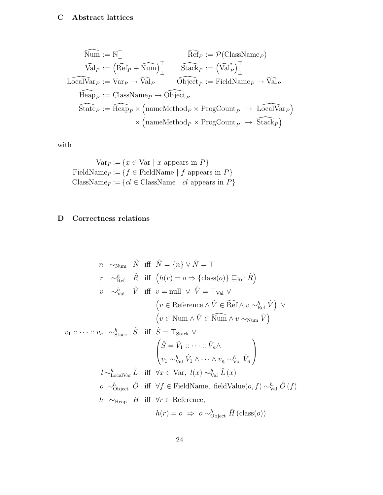### C Abstract lattices

$$
\widehat{\text{Num}} := \mathbb{N}^{\top}_{\bot}
$$
\n
$$
\widehat{\text{Val}}_{P} := (\widehat{\text{Ref}}_{P} + \widehat{\text{Num}})^{\top}_{\bot}
$$
\n
$$
\widehat{\text{Stack}}_{P} := (\widehat{\text{Val}}_{P}^{*})^{\top}_{\bot}
$$
\n
$$
\widehat{\text{LocalVar}}_{P} := \text{Var}_{P} \rightarrow \widehat{\text{Val}}_{P}
$$
\n
$$
\widehat{\text{Hcap}}_{P} := \text{ClassName}_{P} \rightarrow \widehat{\text{Object}}_{P}
$$
\n
$$
\widehat{\text{State}}_{P} := \widehat{\text{Heap}}_{P} \times (\text{nameMethod}_{P} \times \text{ProgCount}_{P} \rightarrow \widehat{\text{LocalVar}}_{P})
$$
\n
$$
\times (\text{nameMethod}_{P} \times \text{ProgCount}_{P} \rightarrow \widehat{\text{Stack}}_{P})
$$

with

$$
\text{Var}_P := \{ x \in \text{Var} \mid x \text{ appears in } P \}
$$
  
FieldName $p := \{ f \in \text{FieldName} \mid f \text{ appears in } P \}$   
ClassName $p := \{ cl \in \text{ClassName} \mid cl \text{ appears in } P \}$ 

## D Correctness relations

$$
n \sim_{\text{Num}} \hat{N} \text{ iff } \hat{N} = \{n\} \vee \hat{N} = \top
$$
\n
$$
r \sim_{\text{Ref}}^{h} \hat{R} \text{ iff } \left(h(r) = o \Rightarrow \{\text{class}(o)\} \sqsubseteq_{\text{Ref}} \hat{R}\right)
$$
\n
$$
v \sim_{\text{Val}}^{h} \hat{V} \text{ iff } v = \text{null} \vee \hat{V} = \top_{\text{Val}} \vee
$$
\n
$$
\left(v \in \text{Reference} \wedge \hat{V} \in \widehat{\text{Ref}} \wedge v \sim_{\text{Ref}}^{h} \hat{V}\right) \vee
$$
\n
$$
\left(v \in \text{Num} \wedge \hat{V} \in \widehat{\text{Num}} \wedge v \sim_{\text{Num}} \hat{V}\right)
$$
\n
$$
v_1 :: \cdots :: v_n \sim_{\text{Stack}}^h \hat{S} \text{ iff } \hat{S} = \top_{\text{Stack}} \vee
$$
\n
$$
\left(\hat{S} = \hat{V}_1 :: \cdots :: \hat{V}_n \wedge
$$
\n
$$
\left(v_1 \sim_{\text{Val}}^h \hat{V}_1 \wedge \cdots \wedge v_n \sim_{\text{Val}}^h \hat{V}_n\right)
$$
\n
$$
l \sim_{\text{LocalVar}}^h \hat{L} \text{ iff } \forall x \in \text{Var}, l(x) \sim_{\text{Val}}^h \hat{L}(x)
$$
\n
$$
o \sim_{\text{Object}}^h \hat{O} \text{ iff } \forall f \in \text{FieldName, fieldValue}(o, f) \sim_{\text{Val}}^h \hat{O}(f)
$$
\n
$$
h \sim_{\text{Heap}} \hat{H} \text{ iff } \forall r \in \text{Reference},
$$
\n
$$
h(r) = o \Rightarrow o \sim_{\text{Object}}^h \hat{H} \text{ (class}(o))
$$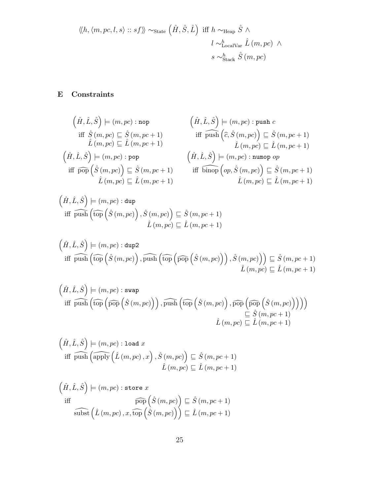$$
\langle\!\langle h, \langle m, pc, l, s \rangle :: sf \rangle\!\rangle \sim_{\text{State}} (\hat{H}, \hat{S}, \hat{L}) \text{ iff } h \sim_{\text{Heap}} \hat{S} \land
$$

$$
l \sim_{\text{LocalVar}}^h \hat{L} (m, pc) \land
$$

$$
s \sim_{\text{Stack}}^h \hat{S} (m, pc)
$$

## E Constraints

$$
\begin{array}{ll}\n\left(\hat{H},\hat{L},\hat{S}\right) \models (m,pc) : \text{nop} & \left(\hat{H},\hat{L},\hat{S}\right) \models (m,pc) : \text{push } c \\
\text{iff } \hat{S}(m,pc) \sqsubseteq \hat{S}(m,pc+1) & \text{iff } \widehat{p} \text{ush}\left(\hat{c},\hat{S}(m,pc)\right) \sqsubseteq \hat{S}(m,pc+1) \\
\hat{L}(m,pc) \sqsubseteq \hat{L}(m,pc+1) & \hat{L}(m,pc) \sqsubseteq \hat{L}(m,pc+1) \\
\left(\hat{H},\hat{L},\hat{S}\right) \models (m,pc) : \text{pop} & \left(\hat{H},\hat{L},\hat{S}\right) \models (m,pc) : \text{numop } op \\
\text{iff } \widehat{p} \text{op}\left(\hat{S}(m,pc)\right) \sqsubseteq \hat{S}(m,pc+1) & \text{iff } \widehat{p} \text{inop}\left(\text{op},\hat{S}(m,pc)\right) \sqsubseteq \hat{S}(m,pc+1) \\
\hat{L}(m,pc) \sqsubseteq \hat{L}(m,pc+1) & \hat{L}(m,pc) \sqsubseteq \hat{L}(m,pc+1)\n\end{array}
$$

$$
\begin{aligned} \left(\hat{H},\hat{L},\hat{S}\right) &\models (m,pc):\text{dup} \\ \text{iff } \overbrace{\text{fup}}\left(\widehat{\text{top}}\left(\hat{S}\left(m,pc\right)\right),\hat{S}\left(m,pc\right)\right) \subseteq \hat{S}\left(m,pc+1\right) \\ \hat{L}\left(m,pc\right) &\sqsubseteq \hat{L}\left(m,pc+1\right) \end{aligned}
$$

$$
\left(\hat{H}, \hat{L}, \hat{S}\right) \models (m, pc) : \text{dup2}
$$
\n
$$
\text{iff } \widehat{\text{push}}\left(\widehat{\text{top}}\left(\hat{S}\left(m, pc\right)\right), \widehat{\text{push}}\left(\widehat{\text{top}}\left(\widehat{\text{pop}}\left(\hat{S}\left(m, pc\right)\right)\right), \hat{S}\left(m, pc\right)\right)\right) \sqsubseteq \hat{S}\left(m, pc + 1\right)
$$
\n
$$
\hat{L}\left(m, pc\right) \sqsubseteq \hat{L}\left(m, pc + 1\right)
$$

$$
\left(\hat{H}, \hat{L}, \hat{S}\right) \models (m, pc) : \text{swap}
$$
\n
$$
\text{iff } \widehat{\text{push}}\left(\widehat{\text{top}}\left(\widehat{p\text{op}}\left(\hat{S}\left(m, pc\right)\right)\right), \widehat{\text{push}}\left(\widehat{\text{top}}\left(\hat{S}\left(m, pc\right)\right), \widehat{\text{pop}}\left(\widehat{p\text{op}}\left(\hat{S}\left(m, pc\right)\right)\right)\right)\right) \subseteq \hat{S}\left(m, pc + 1\right)
$$
\n
$$
\hat{L}\left(m, pc\right) \subseteq \hat{L}\left(m, pc + 1\right)
$$

$$
\left(\hat{H}, \hat{L}, \hat{S}\right) \models (m, pc) : \texttt{load } x
$$
  
iff  $\widehat{\text{push}}\left(\widehat{\text{apply}}\left(\hat{L}\left(m, pc\right), x\right), \hat{S}\left(m, pc\right)\right) \sqsubseteq \hat{S}\left(m, pc + 1\right)$   
 $\hat{L}\left(m, pc\right) \sqsubseteq \hat{L}\left(m, pc + 1\right)$ 

$$
\left(\hat{H}, \hat{L}, \hat{S}\right) \models (m, pc) : \text{store } x
$$
  
iff  
iff  
subject
$$
\left(\hat{L}(m, pc), x, \widehat{\text{top}}\left(\hat{S}(m, pc)\right)\right) \sqsubseteq \hat{S}(m, pc + 1)
$$
  

$$
\widehat{\text{subst}}\left(\hat{L}(m, pc), x, \widehat{\text{top}}\left(\hat{S}(m, pc)\right)\right) \sqsubseteq \hat{L}(m, pc + 1)
$$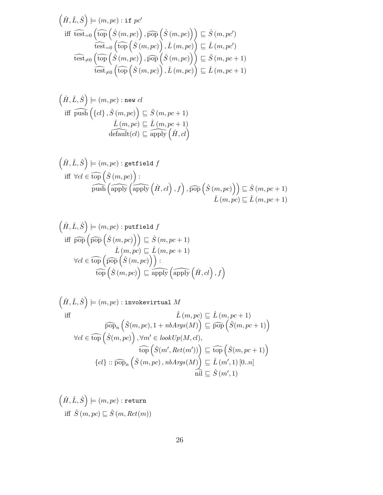$$
\left(\hat{H}, \hat{L}, \hat{S}\right) \models (m, pc) : \text{if } pc'
$$
\n
$$
\text{iff } \widehat{\text{test}}_{=0} \left(\widehat{\text{top}}\left(\hat{S}\left(m, pc\right)\right), \widehat{\text{pop}}\left(\hat{S}\left(m, pc\right)\right)\right) \sqsubseteq \hat{S}\left(m, pc'\right)
$$
\n
$$
\widehat{\text{test}}_{=0} \left(\widehat{\text{top}}\left(\hat{S}\left(m, pc\right)\right), \hat{L}\left(m, pc\right)\right) \sqsubseteq \hat{L}\left(m, pc'\right)
$$
\n
$$
\widehat{\text{test}}_{\neq 0} \left(\widehat{\text{top}}\left(\hat{S}\left(m, pc\right)\right), \widehat{\text{pop}}\left(\hat{S}\left(m, pc\right)\right)\right) \sqsubseteq \hat{S}\left(m, pc + 1\right)
$$
\n
$$
\widehat{\text{test}}_{\neq 0} \left(\widehat{\text{top}}\left(\hat{S}\left(m, pc\right)\right), \hat{L}\left(m, pc\right)\right) \sqsubseteq \hat{L}\left(m, pc + 1\right)
$$

$$
\begin{aligned} \left(\hat{H},\hat{L},\hat{S}\right)&\models (m,pc):\texttt{new }cl\\ \text{iff } \widehat{\texttt{push}}\left(\{cl\}\,,\hat{S}\left(m,pc\right)\right)\sqsubseteq\hat{S}\left(m,pc+1\right)\\ \hat{L}\left(m,pc\right)\sqsubseteq\hat{L}\left(m,pc+1\right)\\ \widehat{\text{default}}(cl)\sqsubseteq\widehat{\text{apply}}\left(\hat{H},cl\right) \end{aligned}
$$

$$
\left(\hat{H}, \hat{L}, \hat{S}\right) \models (m, pc) : \text{getfield } f
$$
\n
$$
\text{iff } \forall cl \in \widehat{\text{top}} \left(\hat{S}(m, pc)\right) : \text{push } \left(\widehat{\text{apply}}\left(\hat{H}, cl\right), f\right), \widehat{\text{pop}}\left(\hat{S}(m, pc)\right) \sqsubseteq \hat{S}(m, pc + 1)
$$
\n
$$
\hat{L}(m, pc) \sqsubseteq \hat{L}(m, pc + 1)
$$

$$
\begin{aligned}\n\left(\hat{H}, \hat{L}, \hat{S}\right) &= (m, pc) : \text{putfield } f \\
\text{iff } \widehat{\text{pop}}\left(\widehat{\text{pop}}\left(\hat{S}\left(m, pc\right)\right)\right) \sqsubseteq \hat{S}\left(m, pc + 1\right) \\
&\hat{L}\left(m, pc\right) \sqsubseteq \hat{L}\left(m, pc + 1\right) \\
\forall cl \in \widehat{\text{top}}\left(\widehat{\text{pop}}\left(\hat{S}\left(m, pc\right)\right)\right): \\
&\quad \widehat{\text{top}}\left(\hat{S}\left(m, pc\right)\right) \sqsubseteq \widehat{\text{apply}}\left(\widehat{\text{apply}}\left(\hat{H}, cl\right), f\right)\n\end{aligned}
$$

$$
\left(\hat{H}, \hat{L}, \hat{S}\right) \models (m, pc) : \text{invokerittual } M
$$
\niff

\n
$$
\hat{L}(m, pc) \subseteq \hat{L}(m, pc + 1)
$$
\n
$$
\forall cl \in \widehat{\text{top}}\left(\hat{S}(m, pc), 1 + nbArgs(M)\right) \subseteq \widehat{\text{pop}}\left(\hat{S}(m, pc + 1)\right)
$$
\n
$$
\forall cl \in \widehat{\text{top}}\left(\hat{S}(m, pc)\right), \forall m' \in \text{lookUp}(M, cl),
$$
\n
$$
\widehat{\text{top}}\left(\hat{S}(m', Ret(m'))\right) \subseteq \widehat{\text{top}}\left(\hat{S}(m, pc + 1)\right)
$$
\n
$$
\left\{cl\right\} :: \widehat{\text{pop}}_n\left(\hat{S}(m, pc), nbArg(M)\right) \subseteq \hat{L}(m', 1) [0..n]
$$
\n
$$
\widehat{\text{nil}} \subseteq \hat{S}(m', 1)
$$

$$
\left(\hat{H}, \hat{L}, \hat{S}\right) \models (m, pc) : \texttt{return} \\ \text{iff } \hat{S}(m, pc) \sqsubseteq \hat{S}(m, Ret(m))
$$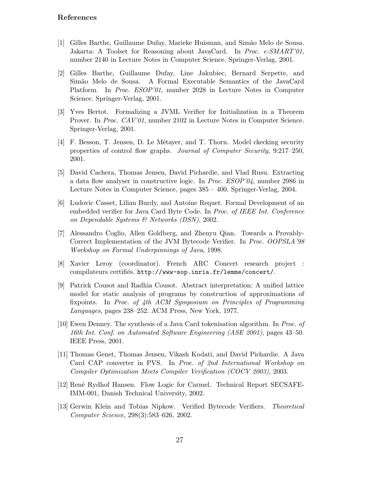#### References

- [1] Gilles Barthe, Guillaume Dufay, Marieke Huisman, and Sim˜ao Melo de Sousa. Jakarta: A Toolset for Reasoning about JavaCard. In Proc. e-SMART'01, number 2140 in Lecture Notes in Computer Science. Springer-Verlag, 2001.
- [2] Gilles Barthe, Guillaume Dufay, Line Jakubiec, Bernard Serpette, and Simão Melo de Sousa. A Formal Executable Semantics of the JavaCard Platform. In Proc. ESOP'01, number 2028 in Lecture Notes in Computer Science. Springer-Verlag, 2001.
- [3] Yves Bertot. Formalizing a JVML Verifier for Initialization in a Theorem Prover. In *Proc. CAV'01*, number 2102 in Lecture Notes in Computer Science. Springer-Verlag, 2001.
- [4] F. Besson, T. Jensen, D. Le M´etayer, and T. Thorn. Model ckecking security properties of control flow graphs. Journal of Computer Security, 9:217–250, 2001.
- [5] David Cachera, Thomas Jensen, David Pichardie, and Vlad Rusu. Extracting a data flow analyser in constructive logic. In Proc. ESOP'04, number 2986 in Lecture Notes in Computer Science, pages 385 – 400. Springer-Verlag, 2004.
- [6] Ludovic Casset, Lilian Burdy, and Antoine Requet. Formal Development of an embedded verifier for Java Card Byte Code. In Proc. of IEEE Int. Conference on Dependable Systems & Networks (DSN), 2002.
- [7] Alessandro Coglio, Allen Goldberg, and Zhenyu Qian. Towards a Provably-Correct Implementation of the JVM Bytecode Verifier. In Proc. OOPSLA'98 Workshop on Formal Underpinnings of Java, 1998.
- [8] Xavier Leroy (coordinator). French ARC Concert research project : compilateurs certifiés. http://www-sop.inria.fr/lemme/concert/.
- [9] Patrick Cousot and Radhia Cousot. Abstract interpretation: A unified lattice model for static analysis of programs by construction of approximations of fixpoints. In Proc. of 4th ACM Symposium on Principles of Programming Languages, pages 238–252. ACM Press, New York, 1977.
- [10] Ewen Denney. The synthesis of a Java Card tokenisation algorithm. In Proc. of 16th Int. Conf. on Automated Software Engineering (ASE 2001), pages 43–50. IEEE Press, 2001.
- [11] Thomas Genet, Thomas Jensen, Vikash Kodati, and David Pichardie. A Java Card CAP converter in PVS. In Proc. of 2nd International Workshop on Compiler Optimization Meets Compiler Verification (COCV 2003), 2003.
- [12] René Rydhof Hansen. Flow Logic for Carmel. Technical Report SECSAFE-IMM-001, Danish Technical University, 2002.
- [13] Gerwin Klein and Tobias Nipkow. Verified Bytecode Verifiers. Theoretical Computer Science, 298(3):583–626, 2002.